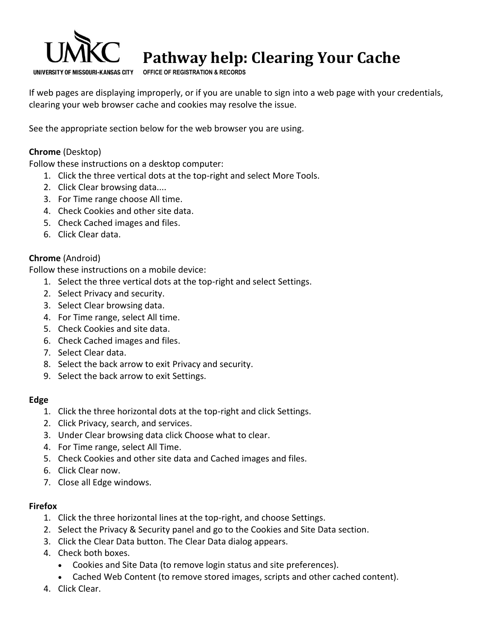

# **Pathway help: Clearing Your Cache**

**OFFICE OF REGISTRATION & RECORDS**

If web pages are displaying improperly, or if you are unable to sign into a web page with your credentials, clearing your web browser cache and cookies may resolve the issue.

See the appropriate section below for the web browser you are using.

# **Chrome** (Desktop)

Follow these instructions on a desktop computer:

- 1. Click the three vertical dots at the top-right and select More Tools.
- 2. Click Clear browsing data....
- 3. For Time range choose All time.
- 4. Check Cookies and other site data.
- 5. Check Cached images and files.
- 6. Click Clear data.

## **Chrome** (Android)

Follow these instructions on a mobile device:

- 1. Select the three vertical dots at the top-right and select Settings.
- 2. Select Privacy and security.
- 3. Select Clear browsing data.
- 4. For Time range, select All time.
- 5. Check Cookies and site data.
- 6. Check Cached images and files.
- 7. Select Clear data.
- 8. Select the back arrow to exit Privacy and security.
- 9. Select the back arrow to exit Settings.

## **Edge**

- 1. Click the three horizontal dots at the top-right and click Settings.
- 2. Click Privacy, search, and services.
- 3. Under Clear browsing data click Choose what to clear.
- 4. For Time range, select All Time.
- 5. Check Cookies and other site data and Cached images and files.
- 6. Click Clear now.
- 7. Close all Edge windows.

## **Firefox**

- 1. Click the three horizontal lines at the top-right, and choose Settings.
- 2. Select the Privacy & Security panel and go to the Cookies and Site Data section.
- 3. Click the Clear Data button. The Clear Data dialog appears.
- 4. Check both boxes.
	- Cookies and Site Data (to remove login status and site preferences).
	- Cached Web Content (to remove stored images, scripts and other cached content).
- 4. Click Clear.